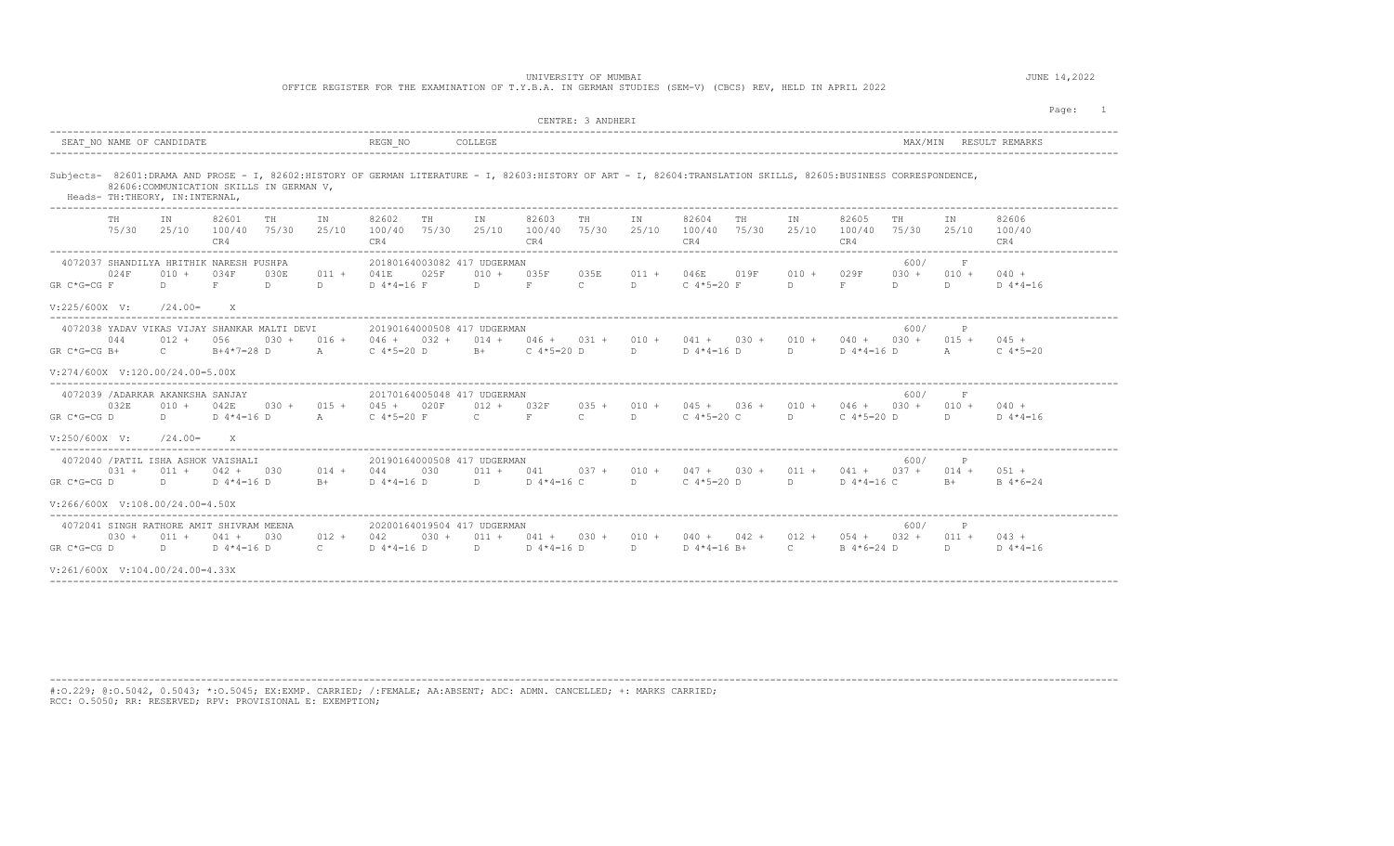## UNIVERSITY OF MUMBAI AND SUMPLIFY OF MUMBAI AND SUMPLIFY OF MUMBAI AND SUMPLIFY OF MUMBAI

OFFICE REGISTER FOR THE EXAMINATION OF T.Y.B.A. IN GERMAN STUDIES (SEM-V) (CBCS) REV, HELD IN APRIL 2022

|                                                                                                                                                                 |                                                                                                                 |                                     |                           |                               |                                          |         |                                                                                       |                                    | CENTRE: 3 ANDHERI         |                       |                                                                                    |             |                               |                                                   |                            |                              | Page:<br>$\overline{1}$     |
|-----------------------------------------------------------------------------------------------------------------------------------------------------------------|-----------------------------------------------------------------------------------------------------------------|-------------------------------------|---------------------------|-------------------------------|------------------------------------------|---------|---------------------------------------------------------------------------------------|------------------------------------|---------------------------|-----------------------|------------------------------------------------------------------------------------|-------------|-------------------------------|---------------------------------------------------|----------------------------|------------------------------|-----------------------------|
| SEAT NO NAME OF CANDIDATE                                                                                                                                       | REGN NO<br>COLLEGE                                                                                              |                                     |                           |                               |                                          |         |                                                                                       |                                    | MAX/MIN<br>RESULT REMARKS |                       |                                                                                    |             |                               |                                                   |                            |                              |                             |
| Subjects- 82601:DRAMA AND PROSE - I, 82602:HISTORY OF GERMAN LITERATURE - I, 82603:HISTORY OF ART - I, 82604:TRANSLATION SKILLS, 82605:BUSINESS CORRESPONDENCE, | 82606: COMMUNICATION SKILLS IN GERMAN V.<br>Heads- TH: THEORY, IN: INTERNAL,<br>------------------------------- |                                     |                           |                               |                                          |         |                                                                                       |                                    |                           |                       |                                                                                    |             |                               |                                                   |                            |                              |                             |
| TH                                                                                                                                                              | IN<br>75/30 25/10 100/40                                                                                        | 82601<br>CR4                        | TH<br>75/30               | IN<br>25/10                   | 82602<br>100/40 75/30<br>CR4             | TH      | IN                                                                                    | 82603<br>25/10 100/40 75/30<br>CR4 | TH                        | IN<br>25/10           | 82604<br>100/40<br>CR4                                                             | TH<br>75/30 | IN<br>25/10                   | 82605<br>100/40<br>CR4                            | TH<br>75/30                | IN<br>25/10                  | 82606<br>100/40<br>CR4      |
| 4072037 SHANDILYA HRITHIK NARESH PUSHPA<br>024F<br>$GR C*G=CG F$                                                                                                | $010 +$<br>$\Box$                                                                                               | 034F<br>F                           | 030E<br>$D \qquad \qquad$ | $011 +$<br>$D \sim 1$         | 041E<br>$D$ 4*4=16 F                     | 025F    | 20180164003082 417 UDGERMAN<br>$010 +$<br>$D \qquad F \qquad$                         | 035F                               | 035E<br>$\mathbb{C}$      | $011 +$<br>$D \sim 1$ | 046E 019F<br>C $4*5=20$ F                                                          |             | $010 +$<br>D                  | 029F<br>F                                         | 600/<br>$030 +$<br>D.      | F<br>$010 +$<br>D            | $040 +$<br>$D \ 4*4=16$     |
| $V: 225/600X$ V:                                                                                                                                                | $/24.00=$                                                                                                       | X                                   |                           |                               |                                          |         |                                                                                       |                                    |                           |                       |                                                                                    |             |                               |                                                   |                            |                              |                             |
| 4072038 YADAV VIKAS VIJAY SHANKAR MALTI DEVI<br>044<br>$GR C*G=CG B+$                                                                                           | $012 +$<br>$\mathbb{C}$ and $\mathbb{C}$                                                                        | 056<br>$B+4*7=28$ D                 |                           | $030 + 016 +$<br>$\mathbb{A}$ | C $4*5=20$ D                             |         | 20190164000508 417 UDGERMAN<br>$046 + 032 + 014 + 046 + 031 + 010 +$<br>B+ C 4*5=20 D |                                    |                           | $\Box$                | $D$ 4 $*$ 4 = 16 $D$                                                               |             |                               | $041 + 030 + 010 + 040 + 030 +$<br>D D 4 * 4=16 D | 600/                       | A                            | $015 + 045 +$<br>C $4*5=20$ |
| $V: 274/600X$ $V: 120.00/24.00=5.00X$                                                                                                                           |                                                                                                                 |                                     |                           |                               |                                          |         |                                                                                       |                                    |                           |                       |                                                                                    |             |                               |                                                   |                            |                              |                             |
| 4072039 /ADARKAR AKANKSHA SANJAY<br>032E<br>$GR C*G=CG D$                                                                                                       | $010 +$<br>$D \qquad \qquad$                                                                                    | 042E<br>$D 4*4=16 D$                |                           | $A$ and $A$                   | $030 + 015 + 045 + 020F$<br>C $4*5=20$ F |         | 20170164005048 417 UDGERMAN<br>$012 + 032F$<br>$\mathbf{C}$ and $\mathbf{C}$          | $F = 1$                            | $\mathbb{C}$              | D                     | $0.35 + 0.10 + 0.45 + 0.36 + 0.10 + 0.46 + 0.30 + 0.10 + 0.40 +$<br>$C$ 4*5=20 $C$ |             | $\mathbb{D}$ and $\mathbb{D}$ |                                                   | 600/<br>$C$ 4 $*$ 5 = 20 D | $\mathbf{F}$<br>$D \sim 1$   | $D \ 4*4=16$                |
| $V: 250/600X$ V:                                                                                                                                                | $/24.00=$                                                                                                       | $\mathbf{x}$                        |                           |                               |                                          |         |                                                                                       |                                    |                           |                       |                                                                                    |             |                               |                                                   |                            |                              |                             |
| 4072040 / PATIL ISHA ASHOK VAISHALI<br>$031 +$<br>GR C*G=CG D                                                                                                   | $011 +$<br>$D \sim 1$                                                                                           | $042 + 030$<br>$D$ 4 $*$ 4 = 16 $D$ |                           | $014 + 044$<br>$R+$           | D 4*4=16 D                               | 030     | 20190164000508 417 UDGERMAN<br>$011 + 041$                                            | $D$ $D$ $4*4=16$ C                 |                           | D                     | $037 + 010 + 047 + 030 + 011 + 041 + 037 +$<br>C $4*5=20$ D                        |             | D                             | D $4*4=16$ C                                      | 600/                       | $014 + 051 +$<br>$B+$        | $B = 4 * 6 = 24$            |
| $V:266/600X$ $V:108.00/24.00=4.50X$                                                                                                                             |                                                                                                                 |                                     |                           |                               |                                          |         |                                                                                       |                                    |                           |                       |                                                                                    |             |                               |                                                   |                            |                              |                             |
| 4072041 SINGH RATHORE AMIT SHIVRAM MEENA<br>$0.30 +$<br>$GR C*G=CG D$                                                                                           | $011 +$<br>D.                                                                                                   | $041 +$<br>$D 4*4=16 D$             | 030                       | $012 +$<br>$\mathbb{C}$ .     | 042<br>D 4*4=16 D                        | $030 +$ | 20200164019504 417 UDGERMAN<br>D D 4 * 4=16 D                                         | $011 + 041 + 030 + 010 +$          |                           | D                     | $D$ 4*4=16 B+                                                                      |             | $\overline{c}$                | $040 + 042 + 012 + 054 + 032 +$<br>B 4*6=24 D     | 600/                       | $\mathbb{P}$<br>$011 +$<br>D | $043 +$<br>$D \ 4*4=16$     |
| $V:261/600X$ $V:104.00/24.00=4.33X$                                                                                                                             |                                                                                                                 |                                     |                           |                               |                                          |         |                                                                                       |                                    |                           |                       |                                                                                    |             |                               |                                                   |                            |                              |                             |
|                                                                                                                                                                 |                                                                                                                 |                                     |                           |                               |                                          |         |                                                                                       |                                    |                           |                       |                                                                                    |             |                               |                                                   |                            |                              |                             |

----------------------------------------------------------------------------------------------------------------------------------------------------------------------------------------

#:O.229; @:O.5042, 0.5043; \*:O.5045; EX:EXMP. CARRIED; /:FEMALE; AA:ABSENT; ADC: ADMN. CANCELLED; +: MARKS CARRIED; RCC: O.5050; RR: RESERVED; RPV: PROVISIONAL E: EXEMPTION;